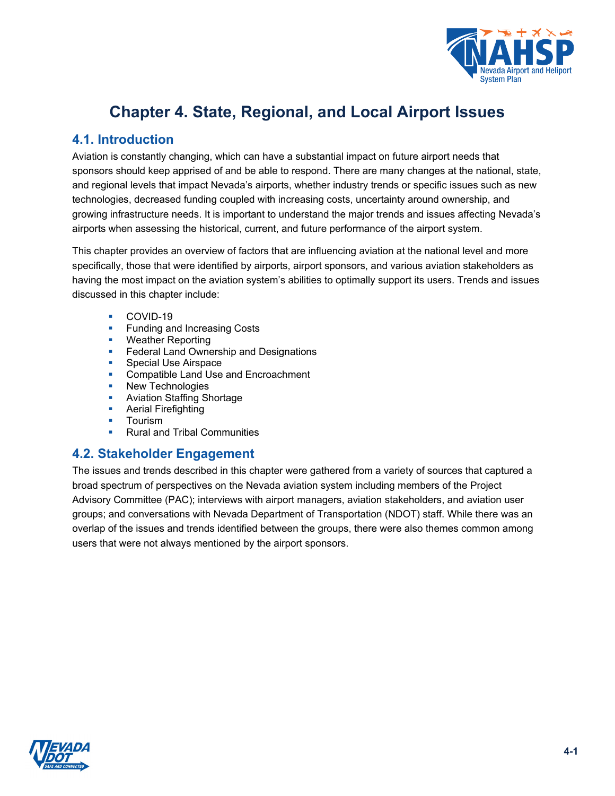

# **Chapter 4. State, Regional, and Local Airport Issues**

# **4.1. Introduction**

Aviation is constantly changing, which can have a substantial impact on future airport needs that sponsors should keep apprised of and be able to respond. There are many changes at the national, state, and regional levels that impact Nevada's airports, whether industry trends or specific issues such as new technologies, decreased funding coupled with increasing costs, uncertainty around ownership, and growing infrastructure needs. It is important to understand the major trends and issues affecting Nevada's airports when assessing the historical, current, and future performance of the airport system.

This chapter provides an overview of factors that are influencing aviation at the national level and more specifically, those that were identified by airports, airport sponsors, and various aviation stakeholders as having the most impact on the aviation system's abilities to optimally support its users. Trends and issues discussed in this chapter include:

- **COVID-19**
- **Funding and Increasing Costs**
- **Weather Reporting**
- **Federal Land Ownership and Designations**
- **Special Use Airspace**
- **Compatible Land Use and Encroachment**
- New Technologies
- **Aviation Staffing Shortage**
- **Aerial Firefighting**
- **Tourism**
- **Rural and Tribal Communities**

#### **4.2. Stakeholder Engagement**

The issues and trends described in this chapter were gathered from a variety of sources that captured a broad spectrum of perspectives on the Nevada aviation system including members of the Project Advisory Committee (PAC); interviews with airport managers, aviation stakeholders, and aviation user groups; and conversations with Nevada Department of Transportation (NDOT) staff. While there was an overlap of the issues and trends identified between the groups, there were also themes common among users that were not always mentioned by the airport sponsors.

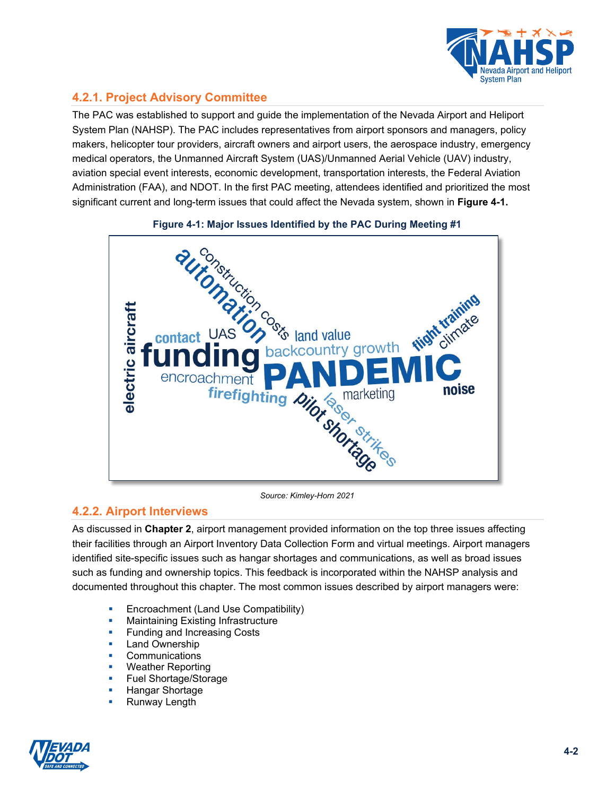

# **4.2.1. Project Advisory Committee**

The PAC was established to support and guide the implementation of the Nevada Airport and Heliport System Plan (NAHSP). The PAC includes representatives from airport sponsors and managers, policy makers, helicopter tour providers, aircraft owners and airport users, the aerospace industry, emergency medical operators, the Unmanned Aircraft System (UAS)/Unmanned Aerial Vehicle (UAV) industry, aviation special event interests, economic development, transportation interests, the Federal Aviation Administration (FAA), and NDOT. In the first PAC meeting, attendees identified and prioritized the most significant current and long-term issues that could affect the Nevada system, shown in **[Figure 4-1.](#page-1-0)**

<span id="page-1-0"></span>

*Source: Kimley-Horn 2021*

#### **4.2.2. Airport Interviews**

As discussed in **Chapter 2**, airport management provided information on the top three issues affecting their facilities through an Airport Inventory Data Collection Form and virtual meetings. Airport managers identified site-specific issues such as hangar shortages and communications, as well as broad issues such as funding and ownership topics. This feedback is incorporated within the NAHSP analysis and documented throughout this chapter. The most common issues described by airport managers were:

- Encroachment (Land Use Compatibility)
- **Maintaining Existing Infrastructure**
- **Funding and Increasing Costs**
- **Land Ownership**
- **•** Communications
- **Weather Reporting**
- **Fuel Shortage/Storage**
- **Hangar Shortage**
- **Runway Length**

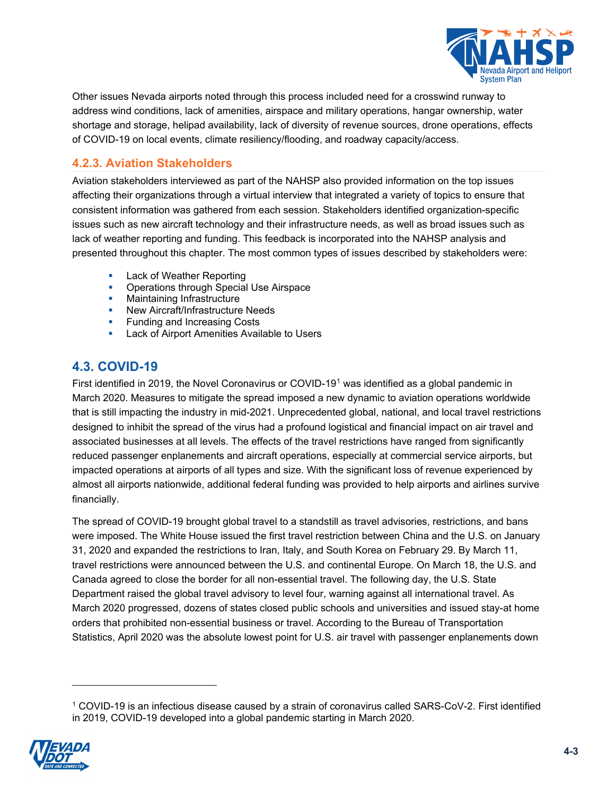

Other issues Nevada airports noted through this process included need for a crosswind runway to address wind conditions, lack of amenities, airspace and military operations, hangar ownership, water shortage and storage, helipad availability, lack of diversity of revenue sources, drone operations, effects of COVID-19 on local events, climate resiliency/flooding, and roadway capacity/access.

#### **4.2.3. Aviation Stakeholders**

Aviation stakeholders interviewed as part of the NAHSP also provided information on the top issues affecting their organizations through a virtual interview that integrated a variety of topics to ensure that consistent information was gathered from each session. Stakeholders identified organization-specific issues such as new aircraft technology and their infrastructure needs, as well as broad issues such as lack of weather reporting and funding. This feedback is incorporated into the NAHSP analysis and presented throughout this chapter. The most common types of issues described by stakeholders were:

- **Lack of Weather Reporting**
- **Operations through Special Use Airspace**
- **•** Maintaining Infrastructure
- **New Aircraft/Infrastructure Needs**
- **Funding and Increasing Costs**
- Lack of Airport Amenities Available to Users

# **4.3. COVID-19**

First identified in 2019, the Novel Coronavirus or COVID-19[1](#page-2-0) was identified as a global pandemic in March 2020. Measures to mitigate the spread imposed a new dynamic to aviation operations worldwide that is still impacting the industry in mid-2021. Unprecedented global, national, and local travel restrictions designed to inhibit the spread of the virus had a profound logistical and financial impact on air travel and associated businesses at all levels. The effects of the travel restrictions have ranged from significantly reduced passenger enplanements and aircraft operations, especially at commercial service airports, but impacted operations at airports of all types and size. With the significant loss of revenue experienced by almost all airports nationwide, additional federal funding was provided to help airports and airlines survive financially.

The spread of COVID-19 brought global travel to a standstill as travel advisories, restrictions, and bans were imposed. The White House issued the first travel restriction between China and the U.S. on January 31, 2020 and expanded the restrictions to Iran, Italy, and South Korea on February 29. By March 11, travel restrictions were announced between the U.S. and continental Europe. On March 18, the U.S. and Canada agreed to close the border for all non-essential travel. The following day, the U.S. State Department raised the global travel advisory to level four, warning against all international travel. As March 2020 progressed, dozens of states closed public schools and universities and issued stay-at home orders that prohibited non-essential business or travel. According to the Bureau of Transportation Statistics, April 2020 was the absolute lowest point for U.S. air travel with passenger enplanements down

<span id="page-2-0"></span><sup>1</sup> COVID-19 is an infectious disease caused by a strain of coronavirus called SARS-CoV-2. First identified in 2019, COVID-19 developed into a global pandemic starting in March 2020.

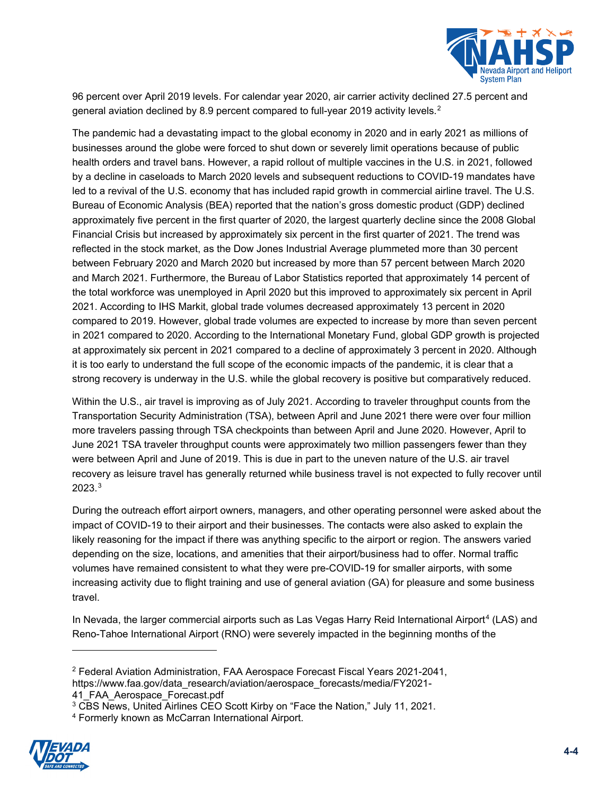

96 percent over April 2019 levels. For calendar year 2020, air carrier activity declined 27.5 percent and general aviation declined by 8.9 percent compared to full-year [2](#page-3-0)019 activity levels. $^{\text{2}}$ 

The pandemic had a devastating impact to the global economy in 2020 and in early 2021 as millions of businesses around the globe were forced to shut down or severely limit operations because of public health orders and travel bans. However, a rapid rollout of multiple vaccines in the U.S. in 2021, followed by a decline in caseloads to March 2020 levels and subsequent reductions to COVID-19 mandates have led to a revival of the U.S. economy that has included rapid growth in commercial airline travel. The U.S. Bureau of Economic Analysis (BEA) reported that the nation's gross domestic product (GDP) declined approximately five percent in the first quarter of 2020, the largest quarterly decline since the 2008 Global Financial Crisis but increased by approximately six percent in the first quarter of 2021. The trend was reflected in the stock market, as the Dow Jones Industrial Average plummeted more than 30 percent between February 2020 and March 2020 but increased by more than 57 percent between March 2020 and March 2021. Furthermore, the Bureau of Labor Statistics reported that approximately 14 percent of the total workforce was unemployed in April 2020 but this improved to approximately six percent in April 2021. According to IHS Markit, global trade volumes decreased approximately 13 percent in 2020 compared to 2019. However, global trade volumes are expected to increase by more than seven percent in 2021 compared to 2020. According to the International Monetary Fund, global GDP growth is projected at approximately six percent in 2021 compared to a decline of approximately 3 percent in 2020. Although it is too early to understand the full scope of the economic impacts of the pandemic, it is clear that a strong recovery is underway in the U.S. while the global recovery is positive but comparatively reduced.

Within the U.S., air travel is improving as of July 2021. According to traveler throughput counts from the Transportation Security Administration (TSA), between April and June 2021 there were over four million more travelers passing through TSA checkpoints than between April and June 2020. However, April to June 2021 TSA traveler throughput counts were approximately two million passengers fewer than they were between April and June of 2019. This is due in part to the uneven nature of the U.S. air travel recovery as leisure travel has generally returned while business travel is not expected to fully recover until 2023.[3](#page-3-1)

During the outreach effort airport owners, managers, and other operating personnel were asked about the impact of COVID-19 to their airport and their businesses. The contacts were also asked to explain the likely reasoning for the impact if there was anything specific to the airport or region. The answers varied depending on the size, locations, and amenities that their airport/business had to offer. Normal traffic volumes have remained consistent to what they were pre-COVID-19 for smaller airports, with some increasing activity due to flight training and use of general aviation (GA) for pleasure and some business travel.

In Nevada, the larger commercial airports such as Las Vegas Harry Reid International Airport<sup>[4](#page-3-2)</sup> (LAS) and Reno-Tahoe International Airport (RNO) were severely impacted in the beginning months of the

41 FAA Aerospace Forecast.pdf

<span id="page-3-2"></span><span id="page-3-1"></span><span id="page-3-0"></span><sup>4</sup> Formerly known as McCarran International Airport.



<sup>2</sup> Federal Aviation Administration, FAA Aerospace Forecast Fiscal Years 2021-2041, https://www.faa.gov/data\_research/aviation/aerospace\_forecasts/media/FY2021-

<sup>3</sup> CBS News, United Airlines CEO Scott Kirby on "Face the Nation," July 11, 2021.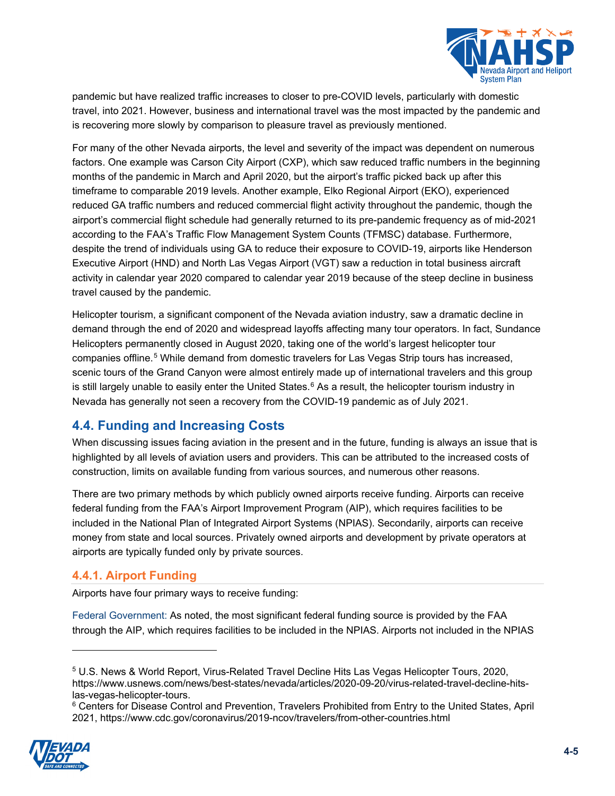

pandemic but have realized traffic increases to closer to pre-COVID levels, particularly with domestic travel, into 2021. However, business and international travel was the most impacted by the pandemic and is recovering more slowly by comparison to pleasure travel as previously mentioned.

For many of the other Nevada airports, the level and severity of the impact was dependent on numerous factors. One example was Carson City Airport (CXP), which saw reduced traffic numbers in the beginning months of the pandemic in March and April 2020, but the airport's traffic picked back up after this timeframe to comparable 2019 levels. Another example, Elko Regional Airport (EKO), experienced reduced GA traffic numbers and reduced commercial flight activity throughout the pandemic, though the airport's commercial flight schedule had generally returned to its pre-pandemic frequency as of mid-2021 according to the FAA's Traffic Flow Management System Counts (TFMSC) database. Furthermore, despite the trend of individuals using GA to reduce their exposure to COVID-19, airports like Henderson Executive Airport (HND) and North Las Vegas Airport (VGT) saw a reduction in total business aircraft activity in calendar year 2020 compared to calendar year 2019 because of the steep decline in business travel caused by the pandemic.

Helicopter tourism, a significant component of the Nevada aviation industry, saw a dramatic decline in demand through the end of 2020 and widespread layoffs affecting many tour operators. In fact, Sundance Helicopters permanently closed in August 2020, taking one of the world's largest helicopter tour companies offline.<sup>[5](#page-4-0)</sup> While demand from domestic travelers for Las Vegas Strip tours has increased, scenic tours of the Grand Canyon were almost entirely made up of international travelers and this group is still largely unable to easily enter the United States.<sup>[6](#page-4-1)</sup> As a result, the helicopter tourism industry in Nevada has generally not seen a recovery from the COVID-19 pandemic as of July 2021.

# **4.4. Funding and Increasing Costs**

When discussing issues facing aviation in the present and in the future, funding is always an issue that is highlighted by all levels of aviation users and providers. This can be attributed to the increased costs of construction, limits on available funding from various sources, and numerous other reasons.

There are two primary methods by which publicly owned airports receive funding. Airports can receive federal funding from the FAA's Airport Improvement Program (AIP), which requires facilities to be included in the National Plan of Integrated Airport Systems (NPIAS). Secondarily, airports can receive money from state and local sources. Privately owned airports and development by private operators at airports are typically funded only by private sources.

#### **4.4.1. Airport Funding**

Airports have four primary ways to receive funding:

Federal Government: As noted, the most significant federal funding source is provided by the FAA through the AIP, which requires facilities to be included in the NPIAS. Airports not included in the NPIAS

<span id="page-4-1"></span><span id="page-4-0"></span><sup>6</sup> Centers for Disease Control and Prevention, Travelers Prohibited from Entry to the United States, April 2021, https://www.cdc.gov/coronavirus/2019-ncov/travelers/from-other-countries.html



<sup>5</sup> U.S. News & World Report, Virus-Related Travel Decline Hits Las Vegas Helicopter Tours, 2020, https://www.usnews.com/news/best-states/nevada/articles/2020-09-20/virus-related-travel-decline-hitslas-vegas-helicopter-tours.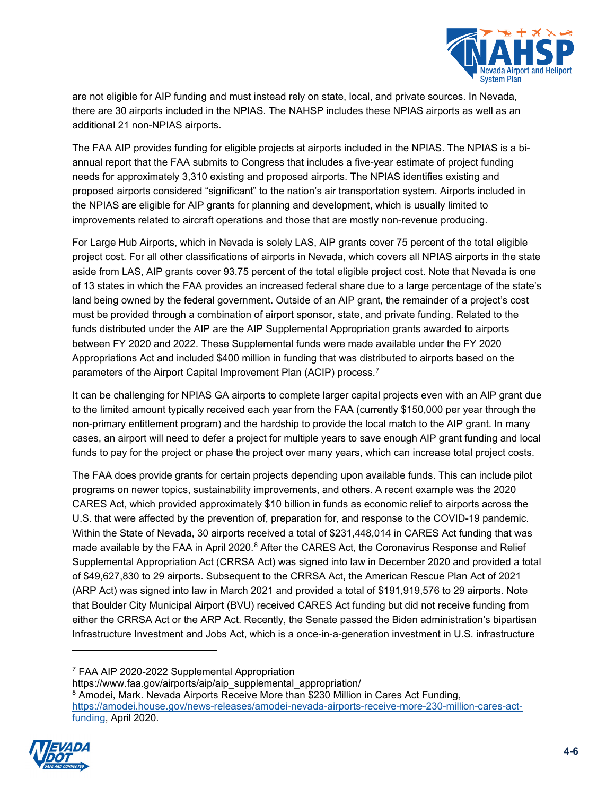

are not eligible for AIP funding and must instead rely on state, local, and private sources. In Nevada, there are 30 airports included in the NPIAS. The NAHSP includes these NPIAS airports as well as an additional 21 non-NPIAS airports.

The FAA AIP provides funding for eligible projects at airports included in the NPIAS. The NPIAS is a biannual report that the FAA submits to Congress that includes a five-year estimate of project funding needs for approximately 3,310 existing and proposed airports. The NPIAS identifies existing and proposed airports considered "significant" to the nation's air transportation system. Airports included in the NPIAS are eligible for AIP grants for planning and development, which is usually limited to improvements related to aircraft operations and those that are mostly non-revenue producing.

For Large Hub Airports, which in Nevada is solely LAS, AIP grants cover 75 percent of the total eligible project cost. For all other classifications of airports in Nevada, which covers all NPIAS airports in the state aside from LAS, AIP grants cover 93.75 percent of the total eligible project cost. Note that Nevada is one of 13 states in which the FAA provides an increased federal share due to a large percentage of the state's land being owned by the federal government. Outside of an AIP grant, the remainder of a project's cost must be provided through a combination of airport sponsor, state, and private funding. Related to the funds distributed under the AIP are the AIP Supplemental Appropriation grants awarded to airports between FY 2020 and 2022. These Supplemental funds were made available under the FY 2020 Appropriations Act and included \$400 million in funding that was distributed to airports based on the parameters of the Airport Capital Improvement Plan (ACIP) process.<sup>[7](#page-5-0)</sup>

It can be challenging for NPIAS GA airports to complete larger capital projects even with an AIP grant due to the limited amount typically received each year from the FAA (currently \$150,000 per year through the non-primary entitlement program) and the hardship to provide the local match to the AIP grant. In many cases, an airport will need to defer a project for multiple years to save enough AIP grant funding and local funds to pay for the project or phase the project over many years, which can increase total project costs.

The FAA does provide grants for certain projects depending upon available funds. This can include pilot programs on newer topics, sustainability improvements, and others. A recent example was the 2020 CARES Act, which provided approximately \$10 billion in funds as economic relief to airports across the U.S. that were affected by the prevention of, preparation for, and response to the COVID-19 pandemic. Within the State of Nevada, 30 airports received a total of \$231,448,014 in CARES Act funding that was made available by the FAA in April 2020.<sup>[8](#page-5-1)</sup> After the CARES Act, the Coronavirus Response and Relief Supplemental Appropriation Act (CRRSA Act) was signed into law in December 2020 and provided a total of \$49,627,830 to 29 airports. Subsequent to the CRRSA Act, the American Rescue Plan Act of 2021 (ARP Act) was signed into law in March 2021 and provided a total of \$191,919,576 to 29 airports. Note that Boulder City Municipal Airport (BVU) received CARES Act funding but did not receive funding from either the CRRSA Act or the ARP Act. Recently, the Senate passed the Biden administration's bipartisan Infrastructure Investment and Jobs Act, which is a once-in-a-generation investment in U.S. infrastructure

<sup>7</sup> FAA AIP 2020-2022 Supplemental Appropriation

https://www.faa.gov/airports/aip/aip\_supplemental\_appropriation/

<span id="page-5-1"></span><span id="page-5-0"></span><sup>&</sup>lt;sup>8</sup> Amodei, Mark. Nevada Airports Receive More than \$230 Million in Cares Act Funding, [https://amodei.house.gov/news-releases/amodei-nevada-airports-receive-more-230-million-cares-act](https://amodei.house.gov/news-releases/amodei-nevada-airports-receive-more-230-million-cares-act-funding)[funding,](https://amodei.house.gov/news-releases/amodei-nevada-airports-receive-more-230-million-cares-act-funding) April 2020.

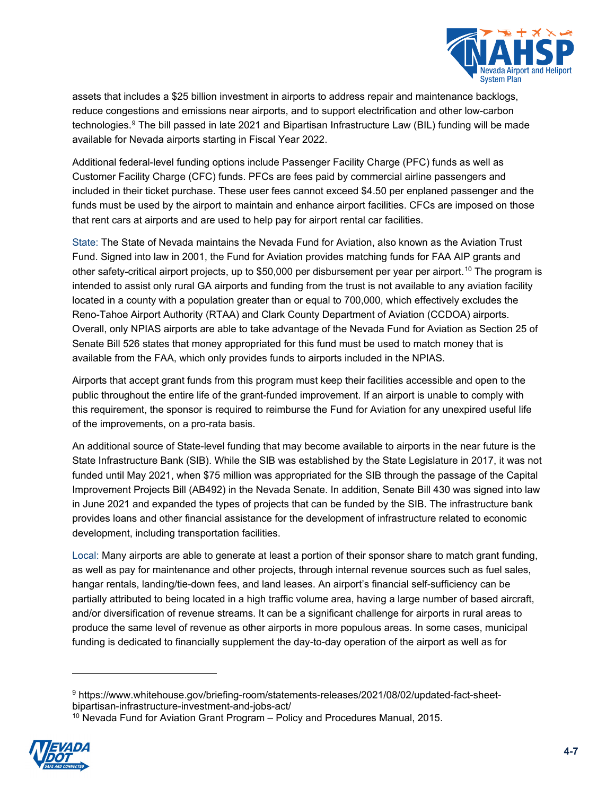

assets that includes a \$25 billion investment in airports to address repair and maintenance backlogs, reduce congestions and emissions near airports, and to support electrification and other low-carbon technologies.<sup>[9](#page-6-0)</sup> The bill passed in late 2021 and Bipartisan Infrastructure Law (BIL) funding will be made available for Nevada airports starting in Fiscal Year 2022.

Additional federal-level funding options include Passenger Facility Charge (PFC) funds as well as Customer Facility Charge (CFC) funds. PFCs are fees paid by commercial airline passengers and included in their ticket purchase. These user fees cannot exceed \$4.50 per enplaned passenger and the funds must be used by the airport to maintain and enhance airport facilities. CFCs are imposed on those that rent cars at airports and are used to help pay for airport rental car facilities.

State: The State of Nevada maintains the Nevada Fund for Aviation, also known as the Aviation Trust Fund. Signed into law in 2001, the Fund for Aviation provides matching funds for FAA AIP grants and other safety-critical airport projects, up to \$50,000 per disbursement per year per airport. [10](#page-6-1) The program is intended to assist only rural GA airports and funding from the trust is not available to any aviation facility located in a county with a population greater than or equal to 700,000, which effectively excludes the Reno-Tahoe Airport Authority (RTAA) and Clark County Department of Aviation (CCDOA) airports. Overall, only NPIAS airports are able to take advantage of the Nevada Fund for Aviation as Section 25 of Senate Bill 526 states that money appropriated for this fund must be used to match money that is available from the FAA, which only provides funds to airports included in the NPIAS.

Airports that accept grant funds from this program must keep their facilities accessible and open to the public throughout the entire life of the grant-funded improvement. If an airport is unable to comply with this requirement, the sponsor is required to reimburse the Fund for Aviation for any unexpired useful life of the improvements, on a pro-rata basis.

An additional source of State-level funding that may become available to airports in the near future is the State Infrastructure Bank (SIB). While the SIB was established by the State Legislature in 2017, it was not funded until May 2021, when \$75 million was appropriated for the SIB through the passage of the Capital Improvement Projects Bill (AB492) in the Nevada Senate. In addition, Senate Bill 430 was signed into law in June 2021 and expanded the types of projects that can be funded by the SIB. The infrastructure bank provides loans and other financial assistance for the development of infrastructure related to economic development, including transportation facilities.

Local: Many airports are able to generate at least a portion of their sponsor share to match grant funding, as well as pay for maintenance and other projects, through internal revenue sources such as fuel sales, hangar rentals, landing/tie-down fees, and land leases. An airport's financial self-sufficiency can be partially attributed to being located in a high traffic volume area, having a large number of based aircraft, and/or diversification of revenue streams. It can be a significant challenge for airports in rural areas to produce the same level of revenue as other airports in more populous areas. In some cases, municipal funding is dedicated to financially supplement the day-to-day operation of the airport as well as for

<span id="page-6-1"></span><span id="page-6-0"></span> $10$  Nevada Fund for Aviation Grant Program – Policy and Procedures Manual, 2015.



<sup>9</sup> https://www.whitehouse.gov/briefing-room/statements-releases/2021/08/02/updated-fact-sheetbipartisan-infrastructure-investment-and-jobs-act/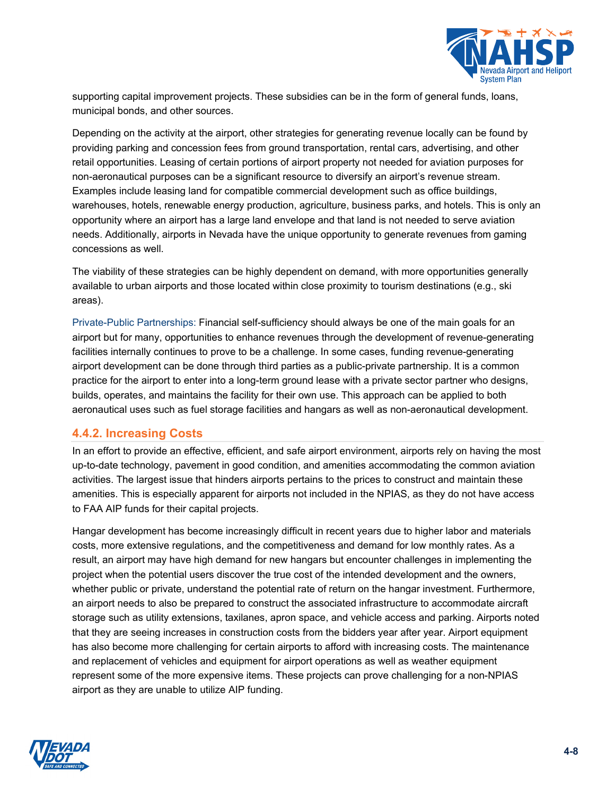

supporting capital improvement projects. These subsidies can be in the form of general funds, loans, municipal bonds, and other sources.

Depending on the activity at the airport, other strategies for generating revenue locally can be found by providing parking and concession fees from ground transportation, rental cars, advertising, and other retail opportunities. Leasing of certain portions of airport property not needed for aviation purposes for non-aeronautical purposes can be a significant resource to diversify an airport's revenue stream. Examples include leasing land for compatible commercial development such as office buildings, warehouses, hotels, renewable energy production, agriculture, business parks, and hotels. This is only an opportunity where an airport has a large land envelope and that land is not needed to serve aviation needs. Additionally, airports in Nevada have the unique opportunity to generate revenues from gaming concessions as well.

The viability of these strategies can be highly dependent on demand, with more opportunities generally available to urban airports and those located within close proximity to tourism destinations (e.g., ski areas).

Private-Public Partnerships: Financial self-sufficiency should always be one of the main goals for an airport but for many, opportunities to enhance revenues through the development of revenue-generating facilities internally continues to prove to be a challenge. In some cases, funding revenue-generating airport development can be done through third parties as a public-private partnership. It is a common practice for the airport to enter into a long-term ground lease with a private sector partner who designs, builds, operates, and maintains the facility for their own use. This approach can be applied to both aeronautical uses such as fuel storage facilities and hangars as well as non-aeronautical development.

#### **4.4.2. Increasing Costs**

In an effort to provide an effective, efficient, and safe airport environment, airports rely on having the most up-to-date technology, pavement in good condition, and amenities accommodating the common aviation activities. The largest issue that hinders airports pertains to the prices to construct and maintain these amenities. This is especially apparent for airports not included in the NPIAS, as they do not have access to FAA AIP funds for their capital projects.

Hangar development has become increasingly difficult in recent years due to higher labor and materials costs, more extensive regulations, and the competitiveness and demand for low monthly rates. As a result, an airport may have high demand for new hangars but encounter challenges in implementing the project when the potential users discover the true cost of the intended development and the owners, whether public or private, understand the potential rate of return on the hangar investment. Furthermore, an airport needs to also be prepared to construct the associated infrastructure to accommodate aircraft storage such as utility extensions, taxilanes, apron space, and vehicle access and parking. Airports noted that they are seeing increases in construction costs from the bidders year after year. Airport equipment has also become more challenging for certain airports to afford with increasing costs. The maintenance and replacement of vehicles and equipment for airport operations as well as weather equipment represent some of the more expensive items. These projects can prove challenging for a non-NPIAS airport as they are unable to utilize AIP funding.

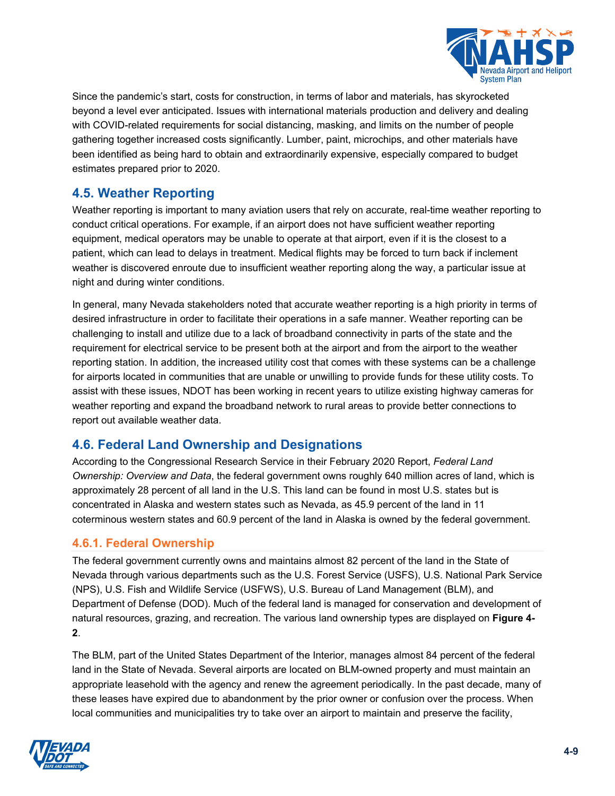

Since the pandemic's start, costs for construction, in terms of labor and materials, has skyrocketed beyond a level ever anticipated. Issues with international materials production and delivery and dealing with COVID-related requirements for social distancing, masking, and limits on the number of people gathering together increased costs significantly. Lumber, paint, microchips, and other materials have been identified as being hard to obtain and extraordinarily expensive, especially compared to budget estimates prepared prior to 2020.

# **4.5. Weather Reporting**

Weather reporting is important to many aviation users that rely on accurate, real-time weather reporting to conduct critical operations. For example, if an airport does not have sufficient weather reporting equipment, medical operators may be unable to operate at that airport, even if it is the closest to a patient, which can lead to delays in treatment. Medical flights may be forced to turn back if inclement weather is discovered enroute due to insufficient weather reporting along the way, a particular issue at night and during winter conditions.

In general, many Nevada stakeholders noted that accurate weather reporting is a high priority in terms of desired infrastructure in order to facilitate their operations in a safe manner. Weather reporting can be challenging to install and utilize due to a lack of broadband connectivity in parts of the state and the requirement for electrical service to be present both at the airport and from the airport to the weather reporting station. In addition, the increased utility cost that comes with these systems can be a challenge for airports located in communities that are unable or unwilling to provide funds for these utility costs. To assist with these issues, NDOT has been working in recent years to utilize existing highway cameras for weather reporting and expand the broadband network to rural areas to provide better connections to report out available weather data.

# **4.6. Federal Land Ownership and Designations**

According to the Congressional Research Service in their February 2020 Report, *Federal Land Ownership: Overview and Data*, the federal government owns roughly 640 million acres of land, which is approximately 28 percent of all land in the U.S. This land can be found in most U.S. states but is concentrated in Alaska and western states such as Nevada, as 45.9 percent of the land in 11 coterminous western states and 60.9 percent of the land in Alaska is owned by the federal government.

#### **4.6.1. Federal Ownership**

The federal government currently owns and maintains almost 82 percent of the land in the State of Nevada through various departments such as the U.S. Forest Service (USFS), U.S. National Park Service (NPS), U.S. Fish and Wildlife Service (USFWS), U.S. Bureau of Land Management (BLM), and Department of Defense (DOD). Much of the federal land is managed for conservation and development of natural resources, grazing, and recreation. The various land ownership types are displayed on **[Figure 4-](#page-10-0) [2](#page-10-0)**.

The BLM, part of the United States Department of the Interior, manages almost 84 percent of the federal land in the State of Nevada. Several airports are located on BLM-owned property and must maintain an appropriate leasehold with the agency and renew the agreement periodically. In the past decade, many of these leases have expired due to abandonment by the prior owner or confusion over the process. When local communities and municipalities try to take over an airport to maintain and preserve the facility,

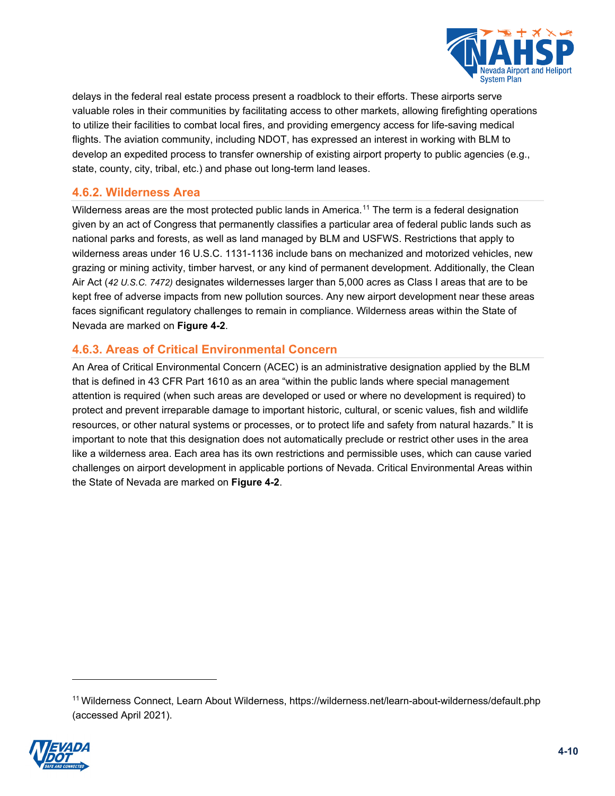

delays in the federal real estate process present a roadblock to their efforts. These airports serve valuable roles in their communities by facilitating access to other markets, allowing firefighting operations to utilize their facilities to combat local fires, and providing emergency access for life-saving medical flights. The aviation community, including NDOT, has expressed an interest in working with BLM to develop an expedited process to transfer ownership of existing airport property to public agencies (e.g., state, county, city, tribal, etc.) and phase out long-term land leases.

#### **4.6.2. Wilderness Area**

Wilderness areas are the most protected public lands in America.<sup>[11](#page-9-0)</sup> The term is a federal designation given by an act of Congress that permanently classifies a particular area of federal public lands such as national parks and forests, as well as land managed by BLM and USFWS. Restrictions that apply to wilderness areas under 16 U.S.C. 1131-1136 include bans on mechanized and motorized vehicles, new grazing or mining activity, timber harvest, or any kind of permanent development. Additionally, the Clean Air Act (*42 U.S.C. 7472)* designates wildernesses larger than 5,000 acres as Class I areas that are to be kept free of adverse impacts from new pollution sources. Any new airport development near these areas faces significant regulatory challenges to remain in compliance. Wilderness areas within the State of Nevada are marked on **[Figure 4-2](#page-10-0)**.

### **4.6.3. Areas of Critical Environmental Concern**

An Area of Critical Environmental Concern (ACEC) is an administrative designation applied by the BLM that is defined in 43 CFR Part 1610 as an area "within the public lands where special management attention is required (when such areas are developed or used or where no development is required) to protect and prevent irreparable damage to important historic, cultural, or scenic values, fish and wildlife resources, or other natural systems or processes, or to protect life and safety from natural hazards." It is important to note that this designation does not automatically preclude or restrict other uses in the area like a wilderness area. Each area has its own restrictions and permissible uses, which can cause varied challenges on airport development in applicable portions of Nevada. Critical Environmental Areas within the State of Nevada are marked on **[Figure 4-2](#page-10-0)**.

<span id="page-9-0"></span><sup>11</sup> Wilderness Connect, Learn About Wilderness,<https://wilderness.net/learn-about-wilderness/default.php> (accessed April 2021).

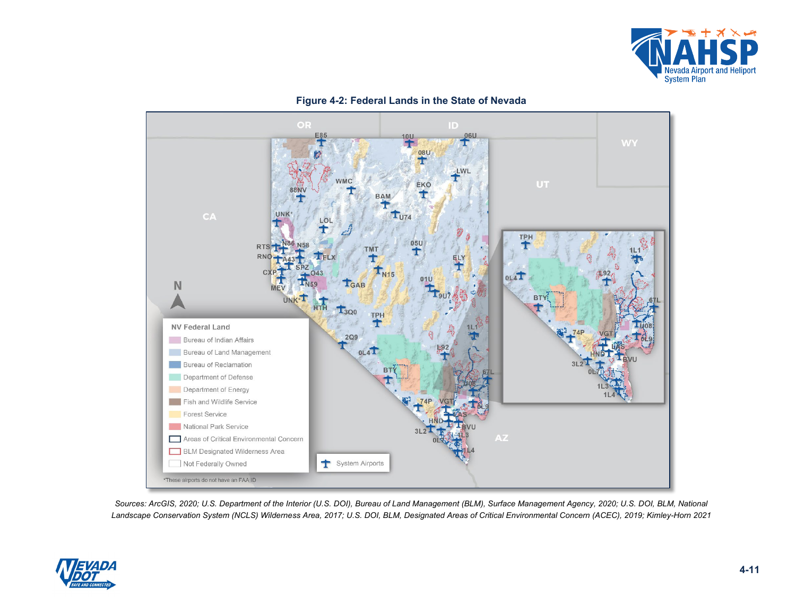

<span id="page-10-0"></span>



*Sources: ArcGIS, 2020; U.S. Department of the Interior (U.S. DOI), Bureau of Land Management (BLM), Surface Management Agency, 2020; U.S. DOI, BLM, National Landscape Conservation System (NCLS) Wilderness Area, 2017; U.S. DOI, BLM, Designated Areas of Critical Environmental Concern (ACEC), 2019; Kimley-Horn 2021*

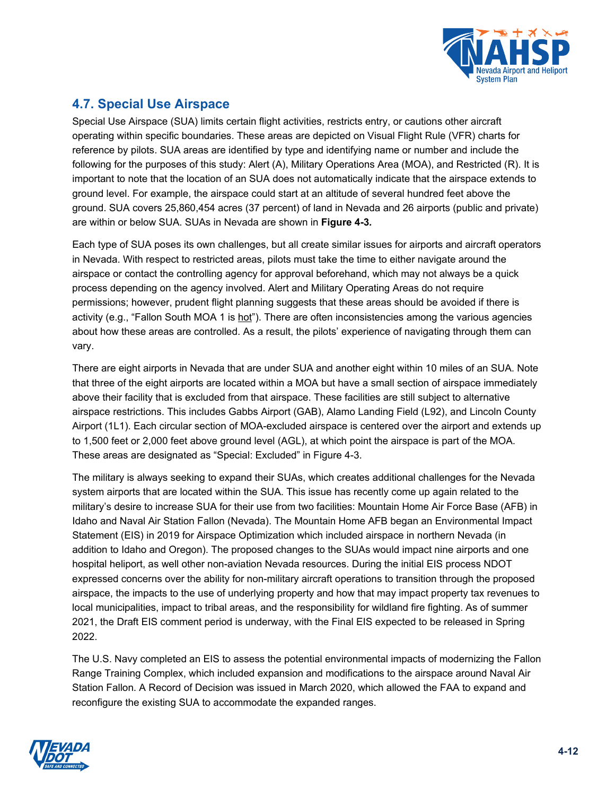

# **4.7. Special Use Airspace**

Special Use Airspace (SUA) limits certain flight activities, restricts entry, or cautions other aircraft operating within specific boundaries. These areas are depicted on Visual Flight Rule (VFR) charts for reference by pilots. SUA areas are identified by type and identifying name or number and include the following for the purposes of this study: Alert (A), Military Operations Area (MOA), and Restricted (R). It is important to note that the location of an SUA does not automatically indicate that the airspace extends to ground level. For example, the airspace could start at an altitude of several hundred feet above the ground. SUA covers 25,860,454 acres (37 percent) of land in Nevada and 26 airports (public and private) are within or below SUA. SUAs in Nevada are shown in **[Figure 4-3](#page-13-0)***.*

Each type of SUA poses its own challenges, but all create similar issues for airports and aircraft operators in Nevada. With respect to restricted areas, pilots must take the time to either navigate around the airspace or contact the controlling agency for approval beforehand, which may not always be a quick process depending on the agency involved. Alert and Military Operating Areas do not require permissions; however, prudent flight planning suggests that these areas should be avoided if there is activity (e.g., "Fallon South MOA 1 is hot"). There are often inconsistencies among the various agencies about how these areas are controlled. As a result, the pilots' experience of navigating through them can vary.

There are eight airports in Nevada that are under SUA and another eight within 10 miles of an SUA. Note that three of the eight airports are located within a MOA but have a small section of airspace immediately above their facility that is excluded from that airspace. These facilities are still subject to alternative airspace restrictions. This includes Gabbs Airport (GAB), Alamo Landing Field (L92), and Lincoln County Airport (1L1). Each circular section of MOA-excluded airspace is centered over the airport and extends up to 1,500 feet or 2,000 feet above ground level (AGL), at which point the airspace is part of the MOA. These areas are designated as "Special: Excluded" in [Figure 4-3.](#page-13-0)

The military is always seeking to expand their SUAs, which creates additional challenges for the Nevada system airports that are located within the SUA. This issue has recently come up again related to the military's desire to increase SUA for their use from two facilities: Mountain Home Air Force Base (AFB) in Idaho and Naval Air Station Fallon (Nevada). The Mountain Home AFB began an Environmental Impact Statement (EIS) in 2019 for Airspace Optimization which included airspace in northern Nevada (in addition to Idaho and Oregon). The proposed changes to the SUAs would impact nine airports and one hospital heliport, as well other non-aviation Nevada resources. During the initial EIS process NDOT expressed concerns over the ability for non-military aircraft operations to transition through the proposed airspace, the impacts to the use of underlying property and how that may impact property tax revenues to local municipalities, impact to tribal areas, and the responsibility for wildland fire fighting. As of summer 2021, the Draft EIS comment period is underway, with the Final EIS expected to be released in Spring 2022.

The U.S. Navy completed an EIS to assess the potential environmental impacts of modernizing the Fallon Range Training Complex, which included expansion and modifications to the airspace around Naval Air Station Fallon. A Record of Decision was issued in March 2020, which allowed the FAA to expand and reconfigure the existing SUA to accommodate the expanded ranges.

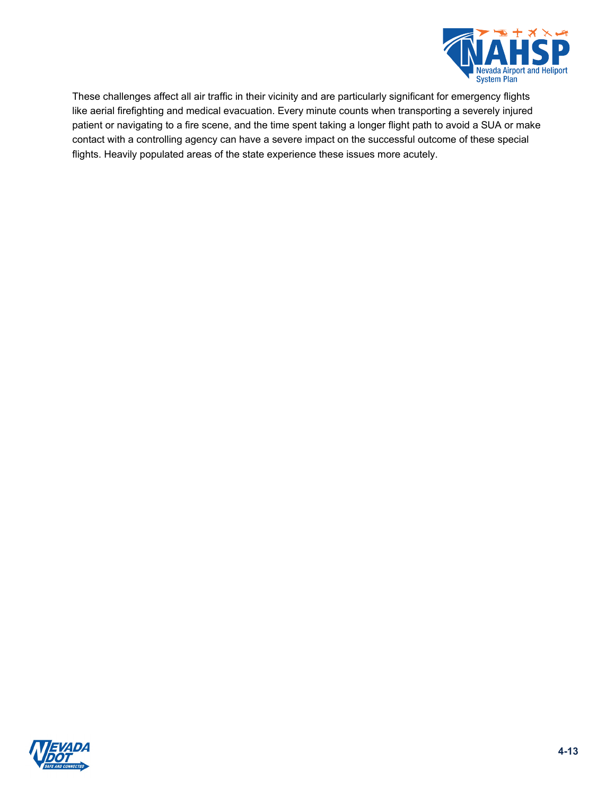

These challenges affect all air traffic in their vicinity and are particularly significant for emergency flights like aerial firefighting and medical evacuation. Every minute counts when transporting a severely injured patient or navigating to a fire scene, and the time spent taking a longer flight path to avoid a SUA or make contact with a controlling agency can have a severe impact on the successful outcome of these special flights. Heavily populated areas of the state experience these issues more acutely.

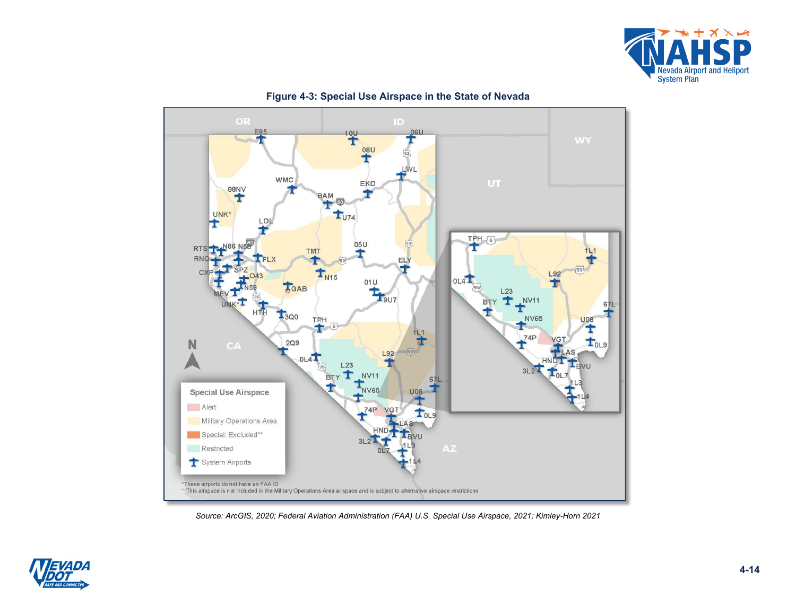

<span id="page-13-0"></span>

#### **Figure 4-3: Special Use Airspace in the State of Nevada**

*Source: ArcGIS, 2020; Federal Aviation Administration (FAA) U.S. Special Use Airspace, 2021; Kimley-Horn 2021*

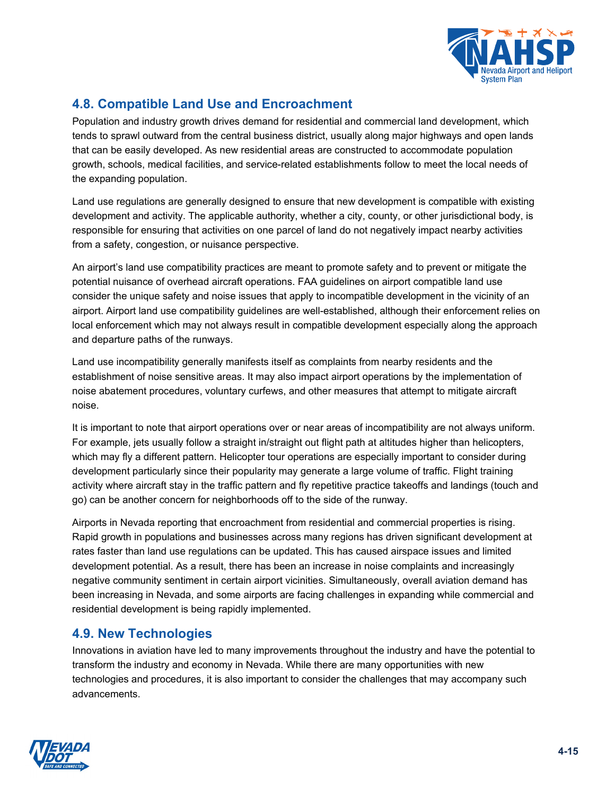

# **4.8. Compatible Land Use and Encroachment**

Population and industry growth drives demand for residential and commercial land development, which tends to sprawl outward from the central business district, usually along major highways and open lands that can be easily developed. As new residential areas are constructed to accommodate population growth, schools, medical facilities, and service-related establishments follow to meet the local needs of the expanding population.

Land use regulations are generally designed to ensure that new development is compatible with existing development and activity. The applicable authority, whether a city, county, or other jurisdictional body, is responsible for ensuring that activities on one parcel of land do not negatively impact nearby activities from a safety, congestion, or nuisance perspective.

An airport's land use compatibility practices are meant to promote safety and to prevent or mitigate the potential nuisance of overhead aircraft operations. FAA guidelines on airport compatible land use consider the unique safety and noise issues that apply to incompatible development in the vicinity of an airport. Airport land use compatibility guidelines are well-established, although their enforcement relies on local enforcement which may not always result in compatible development especially along the approach and departure paths of the runways.

Land use incompatibility generally manifests itself as complaints from nearby residents and the establishment of noise sensitive areas. It may also impact airport operations by the implementation of noise abatement procedures, voluntary curfews, and other measures that attempt to mitigate aircraft noise.

It is important to note that airport operations over or near areas of incompatibility are not always uniform. For example, jets usually follow a straight in/straight out flight path at altitudes higher than helicopters, which may fly a different pattern. Helicopter tour operations are especially important to consider during development particularly since their popularity may generate a large volume of traffic. Flight training activity where aircraft stay in the traffic pattern and fly repetitive practice takeoffs and landings (touch and go) can be another concern for neighborhoods off to the side of the runway.

Airports in Nevada reporting that encroachment from residential and commercial properties is rising. Rapid growth in populations and businesses across many regions has driven significant development at rates faster than land use regulations can be updated. This has caused airspace issues and limited development potential. As a result, there has been an increase in noise complaints and increasingly negative community sentiment in certain airport vicinities. Simultaneously, overall aviation demand has been increasing in Nevada, and some airports are facing challenges in expanding while commercial and residential development is being rapidly implemented.

# **4.9. New Technologies**

Innovations in aviation have led to many improvements throughout the industry and have the potential to transform the industry and economy in Nevada. While there are many opportunities with new technologies and procedures, it is also important to consider the challenges that may accompany such advancements.

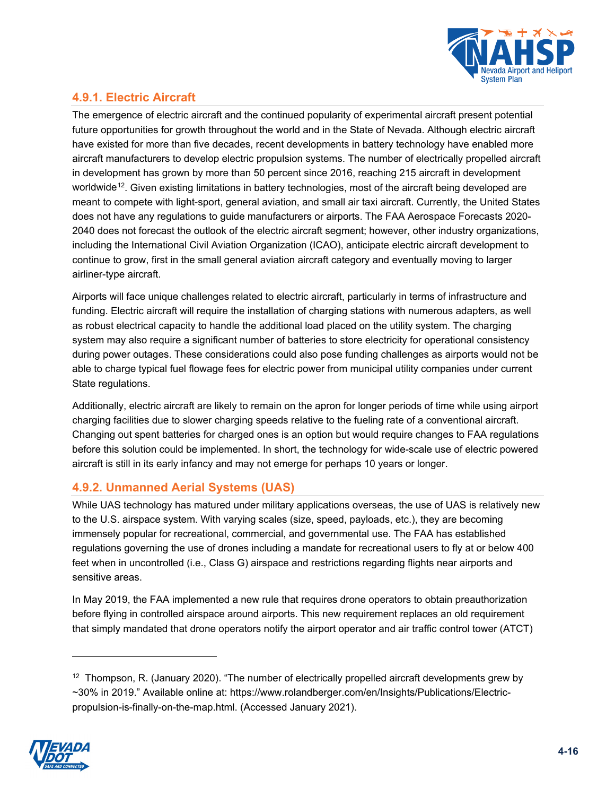

# **4.9.1. Electric Aircraft**

The emergence of electric aircraft and the continued popularity of experimental aircraft present potential future opportunities for growth throughout the world and in the State of Nevada. Although electric aircraft have existed for more than five decades, recent developments in battery technology have enabled more aircraft manufacturers to develop electric propulsion systems. The number of electrically propelled aircraft in development has grown by more than 50 percent since 2016, reaching 215 aircraft in development worldwide<sup>[12](#page-15-0)</sup>. Given existing limitations in battery technologies, most of the aircraft being developed are meant to compete with light-sport, general aviation, and small air taxi aircraft. Currently, the United States does not have any regulations to guide manufacturers or airports. The FAA Aerospace Forecasts 2020- 2040 does not forecast the outlook of the electric aircraft segment; however, other industry organizations, including the International Civil Aviation Organization (ICAO), anticipate electric aircraft development to continue to grow, first in the small general aviation aircraft category and eventually moving to larger airliner-type aircraft.

Airports will face unique challenges related to electric aircraft, particularly in terms of infrastructure and funding. Electric aircraft will require the installation of charging stations with numerous adapters, as well as robust electrical capacity to handle the additional load placed on the utility system. The charging system may also require a significant number of batteries to store electricity for operational consistency during power outages. These considerations could also pose funding challenges as airports would not be able to charge typical fuel flowage fees for electric power from municipal utility companies under current State regulations.

Additionally, electric aircraft are likely to remain on the apron for longer periods of time while using airport charging facilities due to slower charging speeds relative to the fueling rate of a conventional aircraft. Changing out spent batteries for charged ones is an option but would require changes to FAA regulations before this solution could be implemented. In short, the technology for wide-scale use of electric powered aircraft is still in its early infancy and may not emerge for perhaps 10 years or longer.

## **4.9.2. Unmanned Aerial Systems (UAS)**

While UAS technology has matured under military applications overseas, the use of UAS is relatively new to the U.S. airspace system. With varying scales (size, speed, payloads, etc.), they are becoming immensely popular for recreational, commercial, and governmental use. The FAA has established regulations governing the use of drones including a mandate for recreational users to fly at or below 400 feet when in uncontrolled (i.e., Class G) airspace and restrictions regarding flights near airports and sensitive areas.

In May 2019, the FAA implemented a new rule that requires drone operators to obtain preauthorization before flying in controlled airspace around airports. This new requirement replaces an old requirement that simply mandated that drone operators notify the airport operator and air traffic control tower (ATCT)

<span id="page-15-0"></span> $12$  Thompson, R. (January 2020). "The number of electrically propelled aircraft developments grew by ~30% in 2019." Available online at: https://www.rolandberger.com/en/Insights/Publications/Electricpropulsion-is-finally-on-the-map.html. (Accessed January 2021).

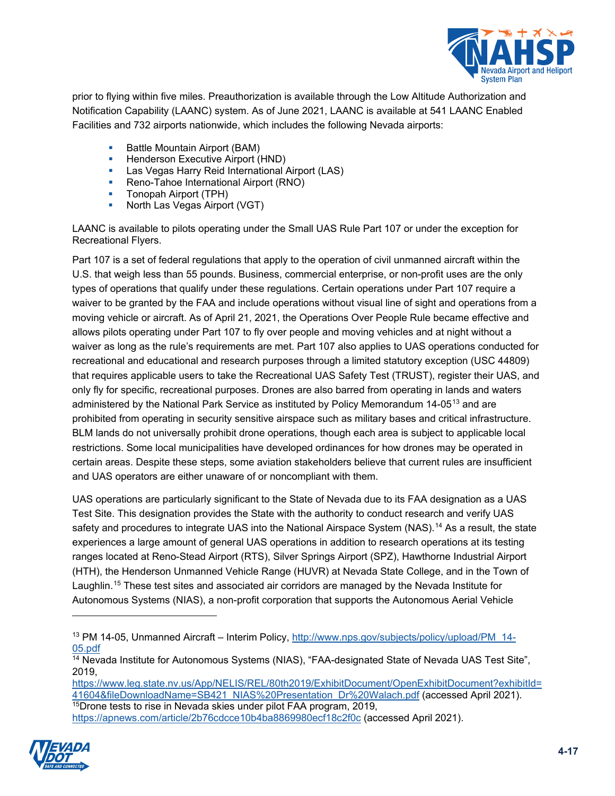

prior to flying within five miles. Preauthorization is available through the Low Altitude Authorization and Notification Capability (LAANC) system. As of June 2021, LAANC is available at 541 LAANC Enabled Facilities and 732 airports nationwide, which includes the following Nevada airports:

- **Battle Mountain Airport (BAM)**
- **Henderson Executive Airport (HND)**<br>In a Vegas Harry Reid International A
- Las Vegas Harry Reid International Airport (LAS)
- **Reno-Tahoe International Airport (RNO)**
- Tonopah Airport (TPH)
- **North Las Vegas Airport (VGT)**

LAANC is available to pilots operating under the Small UAS Rule Part 107 or under the exception for Recreational Flyers.

Part 107 is a set of federal regulations that apply to the operation of civil unmanned aircraft within the U.S. that weigh less than 55 pounds. Business, commercial enterprise, or non-profit uses are the only types of operations that qualify under these regulations. Certain operations under Part 107 require a waiver to be granted by the FAA and include operations without visual line of sight and operations from a moving vehicle or aircraft. As of April 21, 2021, the Operations Over People Rule became effective and allows pilots operating under Part 107 to fly over people and moving vehicles and at night without a waiver as long as the rule's requirements are met. Part 107 also applies to UAS operations conducted for recreational and educational and research purposes through a limited statutory exception (USC 44809) that requires applicable users to take the Recreational UAS Safety Test (TRUST), register their UAS, and only fly for specific, recreational purposes. Drones are also barred from operating in lands and waters administered by the National Park Service as instituted by Policy Memorandum 14-05<sup>[13](#page-16-0)</sup> and are prohibited from operating in security sensitive airspace such as military bases and critical infrastructure. BLM lands do not universally prohibit drone operations, though each area is subject to applicable local restrictions. Some local municipalities have developed ordinances for how drones may be operated in certain areas. Despite these steps, some aviation stakeholders believe that current rules are insufficient and UAS operators are either unaware of or noncompliant with them.

UAS operations are particularly significant to the State of Nevada due to its FAA designation as a UAS Test Site. This designation provides the State with the authority to conduct research and verify UAS safety and procedures to integrate UAS into the National Airspace System (NAS).<sup>[14](#page-16-1)</sup> As a result, the state experiences a large amount of general UAS operations in addition to research operations at its testing ranges located at Reno-Stead Airport (RTS), Silver Springs Airport (SPZ), Hawthorne Industrial Airport (HTH), the Henderson Unmanned Vehicle Range (HUVR) at Nevada State College, and in the Town of Laughlin.[15](#page-16-2) These test sites and associated air corridors are managed by the Nevada Institute for Autonomous Systems (NIAS), a non-profit corporation that supports the Autonomous Aerial Vehicle

<span id="page-16-2"></span><span id="page-16-1"></span><span id="page-16-0"></span>[https://www.leg.state.nv.us/App/NELIS/REL/80th2019/ExhibitDocument/OpenExhibitDocument?exhibitId=](https://www.leg.state.nv.us/App/NELIS/REL/80th2019/ExhibitDocument/OpenExhibitDocument?exhibitId=41604&fileDownloadName=SB421_NIAS%20Presentation_Dr%20Walach.pdf) [41604&fileDownloadName=SB421\\_NIAS%20Presentation\\_Dr%20Walach.pdf](https://www.leg.state.nv.us/App/NELIS/REL/80th2019/ExhibitDocument/OpenExhibitDocument?exhibitId=41604&fileDownloadName=SB421_NIAS%20Presentation_Dr%20Walach.pdf) (accessed April 2021). <sup>15</sup>Drone tests to rise in Nevada skies under pilot FAA program, 2019, <https://apnews.com/article/2b76cdcce10b4ba8869980ecf18c2f0c> (accessed April 2021).



<sup>&</sup>lt;sup>13</sup> PM 14-05, Unmanned Aircraft – Interim Policy, [http://www.nps.gov/subjects/policy/upload/PM\\_14-](http://www.nps.gov/subjects/policy/upload/PM_14-05.pdf) [05.pdf](http://www.nps.gov/subjects/policy/upload/PM_14-05.pdf)

<sup>&</sup>lt;sup>14</sup> Nevada Institute for Autonomous Systems (NIAS), "FAA-designated State of Nevada UAS Test Site", 2019,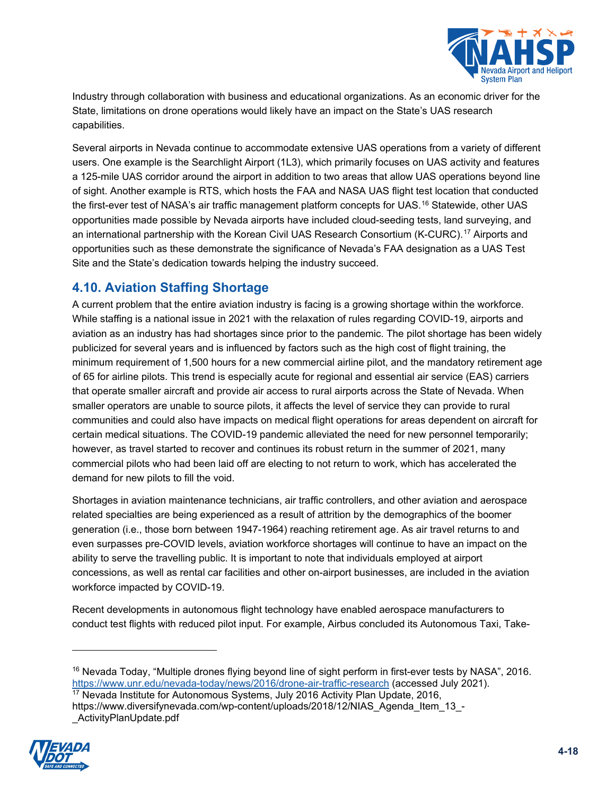

Industry through collaboration with business and educational organizations. As an economic driver for the State, limitations on drone operations would likely have an impact on the State's UAS research capabilities.

Several airports in Nevada continue to accommodate extensive UAS operations from a variety of different users. One example is the Searchlight Airport (1L3), which primarily focuses on UAS activity and features a 125-mile UAS corridor around the airport in addition to two areas that allow UAS operations beyond line of sight. Another example is RTS, which hosts the FAA and NASA UAS flight test location that conducted the first-ever test of NASA's air traffic management platform concepts for UAS.<sup>[16](#page-17-0)</sup> Statewide, other UAS opportunities made possible by Nevada airports have included cloud-seeding tests, land surveying, and an international partnership with the Korean Civil UAS Research Consortium (K-CURC).<sup>[17](#page-17-1)</sup> Airports and opportunities such as these demonstrate the significance of Nevada's FAA designation as a UAS Test Site and the State's dedication towards helping the industry succeed.

# **4.10. Aviation Staffing Shortage**

A current problem that the entire aviation industry is facing is a growing shortage within the workforce. While staffing is a national issue in 2021 with the relaxation of rules regarding COVID-19, airports and aviation as an industry has had shortages since prior to the pandemic. The pilot shortage has been widely publicized for several years and is influenced by factors such as the high cost of flight training, the minimum requirement of 1,500 hours for a new commercial airline pilot, and the mandatory retirement age of 65 for airline pilots. This trend is especially acute for regional and essential air service (EAS) carriers that operate smaller aircraft and provide air access to rural airports across the State of Nevada. When smaller operators are unable to source pilots, it affects the level of service they can provide to rural communities and could also have impacts on medical flight operations for areas dependent on aircraft for certain medical situations. The COVID-19 pandemic alleviated the need for new personnel temporarily; however, as travel started to recover and continues its robust return in the summer of 2021, many commercial pilots who had been laid off are electing to not return to work, which has accelerated the demand for new pilots to fill the void.

Shortages in aviation maintenance technicians, air traffic controllers, and other aviation and aerospace related specialties are being experienced as a result of attrition by the demographics of the boomer generation (i.e., those born between 1947-1964) reaching retirement age. As air travel returns to and even surpasses pre-COVID levels, aviation workforce shortages will continue to have an impact on the ability to serve the travelling public. It is important to note that individuals employed at airport concessions, as well as rental car facilities and other on-airport businesses, are included in the aviation workforce impacted by COVID-19.

Recent developments in autonomous flight technology have enabled aerospace manufacturers to conduct test flights with reduced pilot input. For example, Airbus concluded its Autonomous Taxi, Take-

<span id="page-17-1"></span><span id="page-17-0"></span> $17$  Nevada Institute for Autonomous Systems, July 2016 Activity Plan Update, 2016, https://www.diversifynevada.com/wp-content/uploads/2018/12/NIAS\_Agenda\_Item\_13\_- ActivityPlanUpdate.pdf



<sup>&</sup>lt;sup>16</sup> Nevada Today, "Multiple drones flying beyond line of sight perform in first-ever tests by NASA", 2016. <https://www.unr.edu/nevada-today/news/2016/drone-air-traffic-research> (accessed July 2021).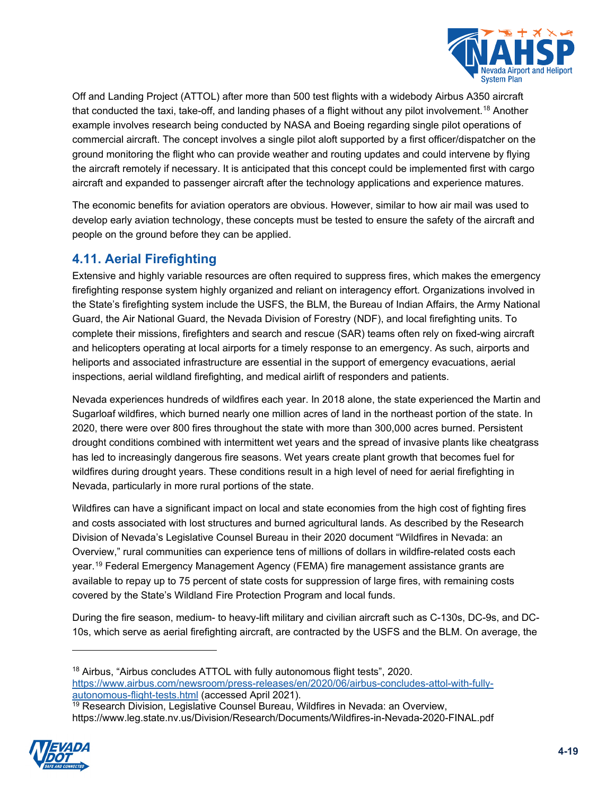

Off and Landing Project (ATTOL) after more than 500 test flights with a widebody Airbus A350 aircraft that conducted the taxi, take-off, and landing phases of a flight without any pilot involvement.<sup>[18](#page-18-0)</sup> Another example involves research being conducted by NASA and Boeing regarding single pilot operations of commercial aircraft. The concept involves a single pilot aloft supported by a first officer/dispatcher on the ground monitoring the flight who can provide weather and routing updates and could intervene by flying the aircraft remotely if necessary. It is anticipated that this concept could be implemented first with cargo aircraft and expanded to passenger aircraft after the technology applications and experience matures.

The economic benefits for aviation operators are obvious. However, similar to how air mail was used to develop early aviation technology, these concepts must be tested to ensure the safety of the aircraft and people on the ground before they can be applied.

# **4.11. Aerial Firefighting**

Extensive and highly variable resources are often required to suppress fires, which makes the emergency firefighting response system highly organized and reliant on interagency effort. Organizations involved in the State's firefighting system include the USFS, the BLM, the Bureau of Indian Affairs, the Army National Guard, the Air National Guard, the Nevada Division of Forestry (NDF), and local firefighting units. To complete their missions, firefighters and search and rescue (SAR) teams often rely on fixed-wing aircraft and helicopters operating at local airports for a timely response to an emergency. As such, airports and heliports and associated infrastructure are essential in the support of emergency evacuations, aerial inspections, aerial wildland firefighting, and medical airlift of responders and patients.

Nevada experiences hundreds of wildfires each year. In 2018 alone, the state experienced the Martin and Sugarloaf wildfires, which burned nearly one million acres of land in the northeast portion of the state. In 2020, there were over 800 fires throughout the state with more than 300,000 acres burned. Persistent drought conditions combined with intermittent wet years and the spread of invasive plants like cheatgrass has led to increasingly dangerous fire seasons. Wet years create plant growth that becomes fuel for wildfires during drought years. These conditions result in a high level of need for aerial firefighting in Nevada, particularly in more rural portions of the state.

Wildfires can have a significant impact on local and state economies from the high cost of fighting fires and costs associated with lost structures and burned agricultural lands. As described by the Research Division of Nevada's Legislative Counsel Bureau in their 2020 document "Wildfires in Nevada: an Overview," rural communities can experience tens of millions of dollars in wildfire-related costs each year. [19](#page-18-1) Federal Emergency Management Agency (FEMA) fire management assistance grants are available to repay up to 75 percent of state costs for suppression of large fires, with remaining costs covered by the State's Wildland Fire Protection Program and local funds.

During the fire season, medium- to heavy-lift military and civilian aircraft such as C-130s, DC-9s, and DC-10s, which serve as aerial firefighting aircraft, are contracted by the USFS and the BLM. On average, the

<span id="page-18-1"></span><span id="page-18-0"></span><sup>&</sup>lt;sup>19</sup> Research Division, Legislative Counsel Bureau, Wildfires in Nevada: an Overview, https://www.leg.state.nv.us/Division/Research/Documents/Wildfires-in-Nevada-2020-FINAL.pdf



<sup>&</sup>lt;sup>18</sup> Airbus, "Airbus concludes ATTOL with fully autonomous flight tests", 2020. [https://www.airbus.com/newsroom/press-releases/en/2020/06/airbus-concludes-attol-with-fully](https://www.airbus.com/newsroom/press-releases/en/2020/06/airbus-concludes-attol-with-fully-autonomous-flight-tests.html)<u>[autonomous-flight-tests.html](https://www.airbus.com/newsroom/press-releases/en/2020/06/airbus-concludes-attol-with-fully-autonomous-flight-tests.html)</u> (accessed April 2021).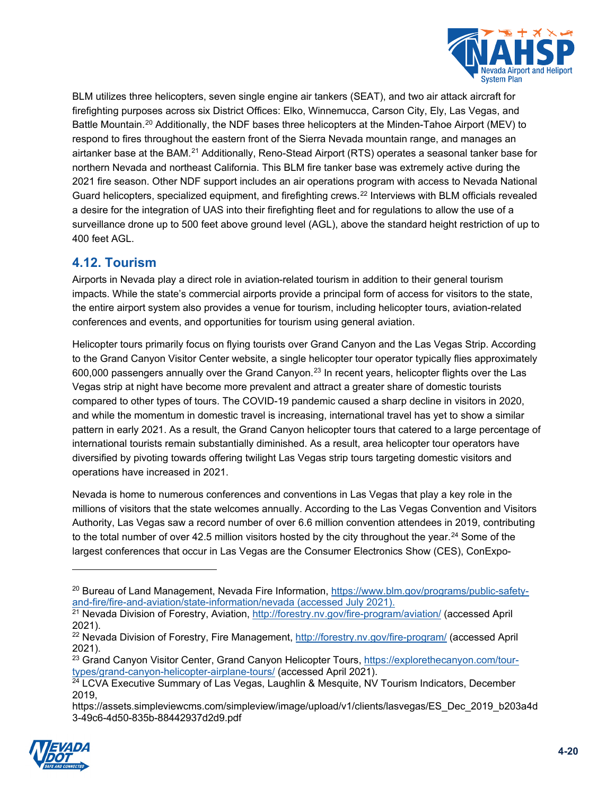

BLM utilizes three helicopters, seven single engine air tankers (SEAT), and two air attack aircraft for firefighting purposes across six District Offices: Elko, Winnemucca, Carson City, Ely, Las Vegas, and Battle Mountain.<sup>[20](#page-19-0)</sup> Additionally, the NDF bases three helicopters at the Minden-Tahoe Airport (MEV) to respond to fires throughout the eastern front of the Sierra Nevada mountain range, and manages an airtanker base at the BAM.<sup>[21](#page-19-1)</sup> Additionally, Reno-Stead Airport (RTS) operates a seasonal tanker base for northern Nevada and northeast California. This BLM fire tanker base was extremely active during the 2021 fire season. Other NDF support includes an air operations program with access to Nevada National Guard helicopters, specialized equipment, and firefighting crews. [22](#page-19-2) Interviews with BLM officials revealed a desire for the integration of UAS into their firefighting fleet and for regulations to allow the use of a surveillance drone up to 500 feet above ground level (AGL), above the standard height restriction of up to 400 feet AGL.

# **4.12. Tourism**

Airports in Nevada play a direct role in aviation-related tourism in addition to their general tourism impacts. While the state's commercial airports provide a principal form of access for visitors to the state, the entire airport system also provides a venue for tourism, including helicopter tours, aviation-related conferences and events, and opportunities for tourism using general aviation.

Helicopter tours primarily focus on flying tourists over Grand Canyon and the Las Vegas Strip. According to the Grand Canyon Visitor Center website, a single helicopter tour operator typically flies approximately 600,000 passengers annually over the Grand Canyon.[23](#page-19-3) In recent years, helicopter flights over the Las Vegas strip at night have become more prevalent and attract a greater share of domestic tourists compared to other types of tours. The COVID-19 pandemic caused a sharp decline in visitors in 2020, and while the momentum in domestic travel is increasing, international travel has yet to show a similar pattern in early 2021. As a result, the Grand Canyon helicopter tours that catered to a large percentage of international tourists remain substantially diminished. As a result, area helicopter tour operators have diversified by pivoting towards offering twilight Las Vegas strip tours targeting domestic visitors and operations have increased in 2021.

Nevada is home to numerous conferences and conventions in Las Vegas that play a key role in the millions of visitors that the state welcomes annually. According to the Las Vegas Convention and Visitors Authority, Las Vegas saw a record number of over 6.6 million convention attendees in 2019, contributing to the total number of over 42.5 million visitors hosted by the city throughout the year. [24](#page-19-4) Some of the largest conferences that occur in Las Vegas are the Consumer Electronics Show (CES), ConExpo-

<span id="page-19-4"></span><span id="page-19-3"></span>https://assets.simpleviewcms.com/simpleview/image/upload/v1/clients/lasvegas/ES\_Dec\_2019\_b203a4d 3-49c6-4d50-835b-88442937d2d9.pdf



<span id="page-19-0"></span><sup>&</sup>lt;sup>20</sup> Bureau of Land Management, Nevada Fire Information, [https://www.blm.gov/programs/public-safety](https://www.blm.gov/programs/public-safety-and-fire/fire-and-aviation/state-information/nevada)[and-fire/fire-and-aviation/state-information/nevada](https://www.blm.gov/programs/public-safety-and-fire/fire-and-aviation/state-information/nevada) (accessed July 2021).

<span id="page-19-1"></span><sup>&</sup>lt;sup>21</sup> Nevada Division of Forestry, Aviation,<http://forestry.nv.gov/fire-program/aviation/> (accessed April 2021).

<span id="page-19-2"></span><sup>&</sup>lt;sup>22</sup> Nevada Division of Forestry, Fire Management,<http://forestry.nv.gov/fire-program/> (accessed April 2021).

<sup>&</sup>lt;sup>23</sup> Grand Canyon Visitor Center, Grand Canyon Helicopter Tours, [https://explorethecanyon.com/tour](https://explorethecanyon.com/tour-types/grand-canyon-helicopter-airplane-tours/)[types/grand-canyon-helicopter-airplane-tours/](https://explorethecanyon.com/tour-types/grand-canyon-helicopter-airplane-tours/) (accessed April 2021).

<sup>&</sup>lt;sup>24</sup> LCVA Executive Summary of Las Vegas, Laughlin & Mesquite, NV Tourism Indicators, December 2019,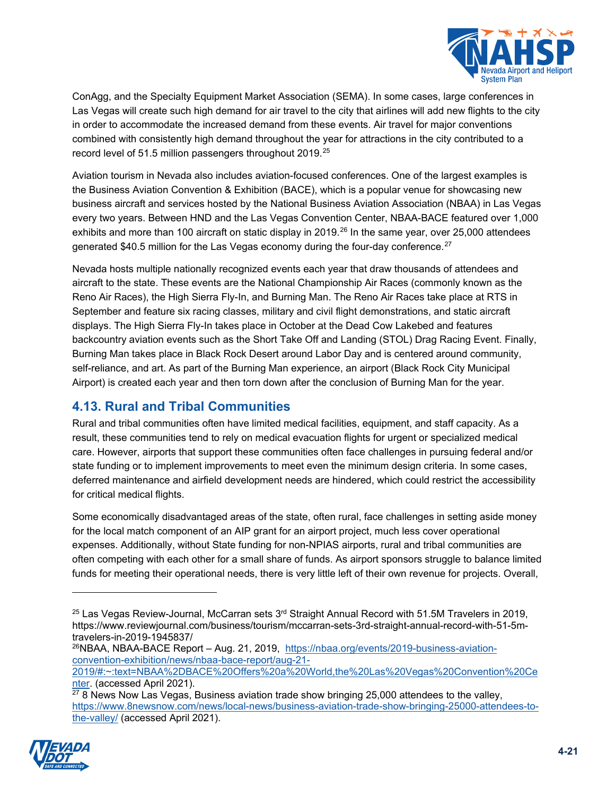

ConAgg, and the Specialty Equipment Market Association (SEMA). In some cases, large conferences in Las Vegas will create such high demand for air travel to the city that airlines will add new flights to the city in order to accommodate the increased demand from these events. Air travel for major conventions combined with consistently high demand throughout the year for attractions in the city contributed to a record level of 51.5 million passengers throughout 2019.<sup>25</sup>

Aviation tourism in Nevada also includes aviation-focused conferences. One of the largest examples is the Business Aviation Convention & Exhibition (BACE), which is a popular venue for showcasing new business aircraft and services hosted by the National Business Aviation Association (NBAA) in Las Vegas every two years. Between HND and the Las Vegas Convention Center, NBAA-BACE featured over 1,000 exhibits and more than 100 aircraft on static display in 2019.<sup>[26](#page-20-1)</sup> In the same year, over 25,000 attendees generated \$40.5 million for the Las Vegas economy during the four-day conference. $^{27}$  $^{27}$  $^{27}$ 

Nevada hosts multiple nationally recognized events each year that draw thousands of attendees and aircraft to the state. These events are the National Championship Air Races (commonly known as the Reno Air Races), the High Sierra Fly-In, and Burning Man. The Reno Air Races take place at RTS in September and feature six racing classes, military and civil flight demonstrations, and static aircraft displays. The High Sierra Fly-In takes place in October at the Dead Cow Lakebed and features backcountry aviation events such as the Short Take Off and Landing (STOL) Drag Racing Event. Finally, Burning Man takes place in Black Rock Desert around Labor Day and is centered around community, self-reliance, and art. As part of the Burning Man experience, an airport (Black Rock City Municipal Airport) is created each year and then torn down after the conclusion of Burning Man for the year.

# **4.13. Rural and Tribal Communities**

Rural and tribal communities often have limited medical facilities, equipment, and staff capacity. As a result, these communities tend to rely on medical evacuation flights for urgent or specialized medical care. However, airports that support these communities often face challenges in pursuing federal and/or state funding or to implement improvements to meet even the minimum design criteria. In some cases, deferred maintenance and airfield development needs are hindered, which could restrict the accessibility for critical medical flights.

Some economically disadvantaged areas of the state, often rural, face challenges in setting aside money for the local match component of an AIP grant for an airport project, much less cover operational expenses. Additionally, without State funding for non-NPIAS airports, rural and tribal communities are often competing with each other for a small share of funds. As airport sponsors struggle to balance limited funds for meeting their operational needs, there is very little left of their own revenue for projects. Overall,

<sup>26</sup>NBAA, NBAA-BACE Report – Aug. 21, 2019, [https://nbaa.org/events/2019-business-aviation](https://nbaa.org/events/2019-business-aviation-convention-exhibition/news/nbaa-bace-report/aug-21-2019/#:%7E:text=NBAA%2DBACE%20Offers%20a%20World,the%20Las%20Vegas%20Convention%20Center)[convention-exhibition/news/nbaa-bace-report/aug-21-](https://nbaa.org/events/2019-business-aviation-convention-exhibition/news/nbaa-bace-report/aug-21-2019/#:%7E:text=NBAA%2DBACE%20Offers%20a%20World,the%20Las%20Vegas%20Convention%20Center)

[2019/#:~:text=NBAA%2DBACE%20Offers%20a%20World,the%20Las%20Vegas%20Convention%20Ce](https://nbaa.org/events/2019-business-aviation-convention-exhibition/news/nbaa-bace-report/aug-21-2019/#:%7E:text=NBAA%2DBACE%20Offers%20a%20World,the%20Las%20Vegas%20Convention%20Center) [nter.](https://nbaa.org/events/2019-business-aviation-convention-exhibition/news/nbaa-bace-report/aug-21-2019/#:%7E:text=NBAA%2DBACE%20Offers%20a%20World,the%20Las%20Vegas%20Convention%20Center) (accessed April 2021).

<span id="page-20-2"></span><span id="page-20-1"></span> $278$  News Now Las Vegas, Business aviation trade show bringing 25,000 attendees to the valley, [https://www.8newsnow.com/news/local-news/business-aviation-trade-show-bringing-25000-attendees-to](https://www.8newsnow.com/news/local-news/business-aviation-trade-show-bringing-25000-attendees-to-the-valley/)[the-valley/](https://www.8newsnow.com/news/local-news/business-aviation-trade-show-bringing-25000-attendees-to-the-valley/) (accessed April 2021).



<span id="page-20-0"></span><sup>&</sup>lt;sup>25</sup> Las Vegas Review-Journal, McCarran sets 3<sup>rd</sup> Straight Annual Record with 51.5M Travelers in 2019. https://www.reviewjournal.com/business/tourism/mccarran-sets-3rd-straight-annual-record-with-51-5mtravelers-in-2019-1945837/